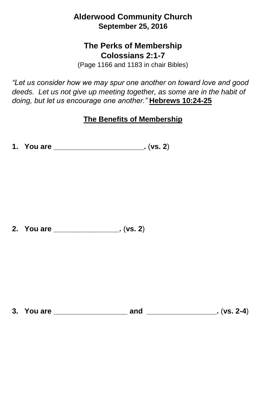## **Alderwood Community Church September 25, 2016**

## **The Perks of Membership Colossians 2:1-7**

(Page 1166 and 1183 in chair Bibles)

*"Let us consider how we may spur one another on toward love and good deeds. Let us not give up meeting together, as some are in the habit of doing, but let us encourage one another."* **Hebrews 10:24-25**

**The Benefits of Membership**

**1. You are \_\_\_\_\_\_\_\_\_\_\_\_\_\_\_\_\_\_\_\_\_\_.** (**vs. 2**)

**2. You are \_\_\_\_\_\_\_\_\_\_\_\_\_\_\_\_.** (**vs. 2**)

**3. You are \_\_\_\_\_\_\_\_\_\_\_\_\_\_\_\_\_\_ and \_\_\_\_\_\_\_\_\_\_\_\_\_\_\_\_\_.** (**vs. 2-4**)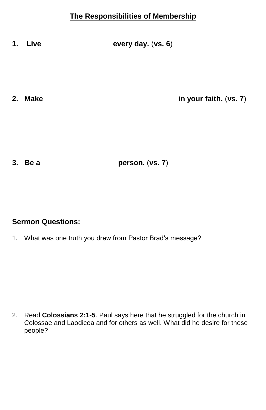## **The Responsibilities of Membership**

**1. Live \_\_\_\_\_ \_\_\_\_\_\_\_\_\_\_ every day.** (**vs. 6**)

**2. Make \_\_\_\_\_\_\_\_\_\_\_\_\_\_\_ \_\_\_\_\_\_\_\_\_\_\_\_\_\_\_\_ in your faith.** (**vs. 7**)

**3. Be a \_\_\_\_\_\_\_\_\_\_\_\_\_\_\_\_\_\_ person.** (**vs. 7**)

## **Sermon Questions:**

1. What was one truth you drew from Pastor Brad's message?

2. Read **Colossians 2:1-5**. Paul says here that he struggled for the church in Colossae and Laodicea and for others as well. What did he desire for these people?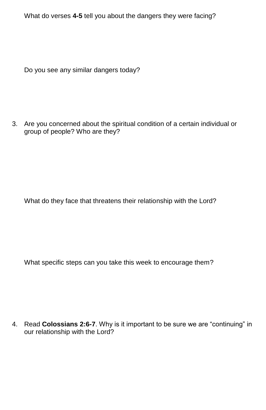What do verses **4-5** tell you about the dangers they were facing?

Do you see any similar dangers today?

3. Are you concerned about the spiritual condition of a certain individual or group of people? Who are they?

What do they face that threatens their relationship with the Lord?

What specific steps can you take this week to encourage them?

4. Read **Colossians 2:6-7**. Why is it important to be sure we are "continuing" in our relationship with the Lord?